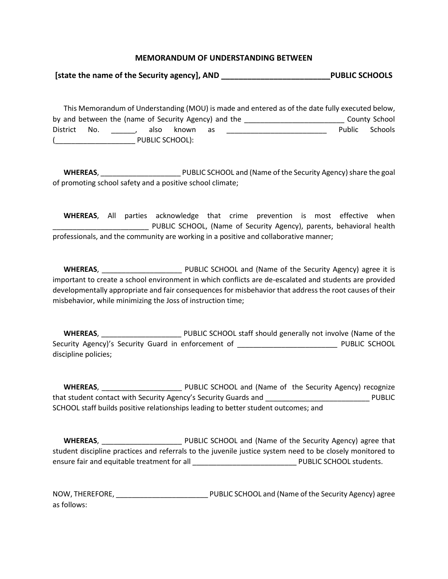### **MEMORANDUM OF UNDERSTANDING BETWEEN**

**[state the name of the Security agency], AND \_\_\_\_\_\_\_\_\_\_\_\_\_\_\_\_\_\_\_\_\_\_\_\_\_PUBLIC SCHOOLS**

 This Memorandum of Understanding (MOU) is made and entered as of the date fully executed below, by and between the (name of Security Agency) and the \_\_\_\_\_\_\_\_\_\_\_\_\_\_\_\_\_\_\_\_\_\_\_\_\_\_\_\_\_\_\_\_\_\_ County School District No. \_\_\_\_\_\_, also known as \_\_\_\_\_\_\_\_\_\_\_\_\_\_\_\_\_\_\_\_\_\_\_\_\_\_\_ Public Schools (\_\_\_\_\_\_\_\_\_\_\_\_\_\_\_\_\_\_\_\_ PUBLIC SCHOOL):

 **WHEREAS**, \_\_\_\_\_\_\_\_\_\_\_\_\_\_\_\_\_\_\_\_ PUBLIC SCHOOL and (Name of the Security Agency)share the goal of promoting school safety and a positive school climate;

 **WHEREAS**, All parties acknowledge that crime prevention is most effective when \_\_\_\_\_\_\_\_\_\_\_\_\_\_\_\_\_\_\_\_\_\_\_\_ PUBLIC SCHOOL, (Name of Security Agency), parents, behavioral health professionals, and the community are working in a positive and collaborative manner;

 **WHEREAS**, \_\_\_\_\_\_\_\_\_\_\_\_\_\_\_\_\_\_\_\_ PUBLIC SCHOOL and (Name of the Security Agency) agree it is important to create a school environment in which conflicts are de-escalated and students are provided developmentally appropriate and fair consequences for misbehavior that address the root causes of their misbehavior, while minimizing the Joss of instruction time;

 **WHEREAS**, \_\_\_\_\_\_\_\_\_\_\_\_\_\_\_\_\_\_\_\_ PUBLIC SCHOOL staff should generally not involve (Name of the Security Agency)'s Security Guard in enforcement of \_\_\_\_\_\_\_\_\_\_\_\_\_\_\_\_\_\_\_\_\_\_\_\_\_\_\_\_\_ PUBLIC SCHOOL discipline policies;

**WHEREAS**, **WHEREAS**, **Example 20 THESE PUBLIC SCHOOL and (Name of the Security Agency) recognize** that student contact with Security Agency's Security Guards and \_\_\_\_\_\_\_\_\_\_\_\_\_\_\_\_\_\_\_\_\_\_\_\_\_\_ PUBLIC SCHOOL staff builds positive relationships leading to better student outcomes; and

**WHEREAS,** WHEREAS, **WHEREAS**, **EXECUTE:** PUBLIC SCHOOL and (Name of the Security Agency) agree that student discipline practices and referrals to the juvenile justice system need to be closely monitored to ensure fair and equitable treatment for all \_\_\_\_\_\_\_\_\_\_\_\_\_\_\_\_\_\_\_\_\_\_\_\_\_\_ PUBLIC SCHOOL students.

NOW, THEREFORE, \_\_\_\_\_\_\_\_\_\_\_\_\_\_\_\_\_\_\_\_\_\_\_ PUBLIC SCHOOL and (Name of the Security Agency) agree as follows: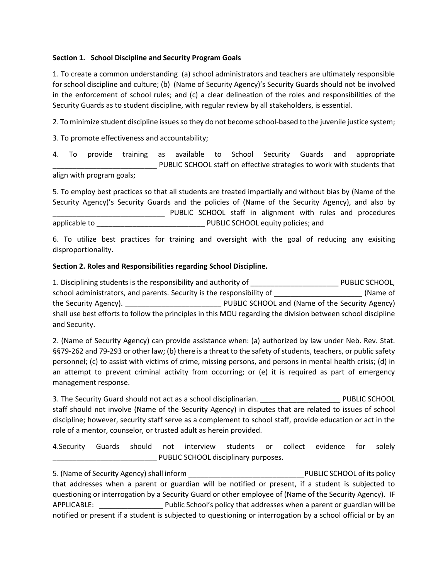# **Section 1. School Discipline and Security Program Goals**

1. To create a common understanding (a) school administrators and teachers are ultimately responsible for school discipline and culture; (b) (Name of Security Agency)'s Security Guards should not be involved in the enforcement of school rules; and (c) a clear delineation of the roles and responsibilities of the Security Guards as to student discipline, with regular review by all stakeholders, is essential.

2. To minimize student discipline issues so they do not become school-based to the juvenile justice system;

3. To promote effectiveness and accountability;

4. To provide training as available to School Security Guards and appropriate PUBLIC SCHOOL staff on effective strategies to work with students that align with program goals;

5. To employ best practices so that all students are treated impartially and without bias by (Name of the Security Agency)'s Security Guards and the policies of (Name of the Security Agency), and also by \_\_\_\_\_\_\_\_\_\_\_\_\_\_\_\_\_\_\_\_\_\_\_\_\_\_\_\_ PUBLIC SCHOOL staff in alignment with rules and procedures applicable to \_\_\_\_\_\_\_\_\_\_\_\_\_\_\_\_\_\_\_\_\_\_\_\_\_\_\_ PUBLIC SCHOOL equity policies; and

6. To utilize best practices for training and oversight with the goal of reducing any exisiting disproportionality.

### **Section 2. Roles and Responsibilities regarding School Discipline.**

1. Disciplining students is the responsibility and authority of Theorem 2011 PUBLIC SCHOOL, school administrators, and parents. Security is the responsibility of \_\_\_\_\_\_\_\_\_\_\_\_\_\_\_\_\_\_\_\_\_\_\_\_\_\_\_\_\_ (Name of the Security Agency). \_\_\_\_\_\_\_\_\_\_\_\_\_\_\_\_\_\_\_\_\_\_\_\_ PUBLIC SCHOOL and (Name of the Security Agency) shall use best efforts to follow the principles in this MOU regarding the division between school discipline and Security.

2. (Name of Security Agency) can provide assistance when: (a) authorized by law under Neb. Rev. Stat. §§79-262 and 79-293 or other law; (b) there is a threat to the safety of students, teachers, or public safety personnel; (c) to assist with victims of crime, missing persons, and persons in mental health crisis; (d) in an attempt to prevent criminal activity from occurring; or (e) it is required as part of emergency management response.

3. The Security Guard should not act as a school disciplinarian. **Example 20 PUBLIC SCHOOL** staff should not involve (Name of the Security Agency) in disputes that are related to issues of school discipline; however, security staff serve as a complement to school staff, provide education or act in the role of a mentor, counselor, or trusted adult as herein provided.

4.Security Guards should not interview students or collect evidence for solely PUBLIC SCHOOL disciplinary purposes.

5. (Name of Security Agency) shall inform **Example 20 and Security Agency**) shall inform that addresses when a parent or guardian will be notified or present, if a student is subjected to questioning or interrogation by a Security Guard or other employee of (Name of the Security Agency). IF APPLICABLE: Public School's policy that addresses when a parent or guardian will be notified or present if a student is subjected to questioning or interrogation by a school official or by an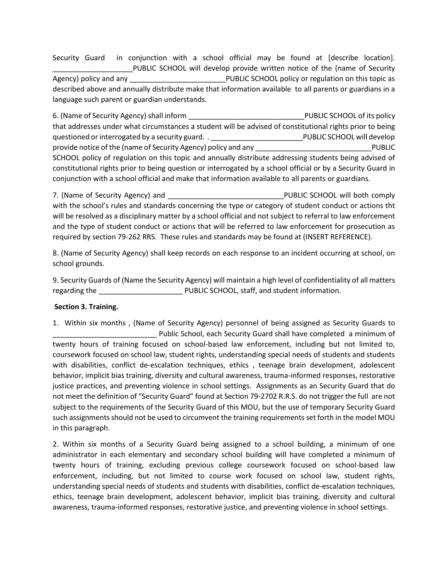Security Guard in conjunction with a school official may be found at [describe location]. PUBLIC SCHOOL will develop provide written notice of the (name of Security Agency) policy and any **Example 20** PUBLIC SCHOOL policy or regulation on this topic as described above and annually distribute make that information available to all parents or guardians in a language such parent or guardian understands.

6. (Name of Security Agency) shall inform **Exercise 20 and Security Agency** Shall inform **Exercise 20 and Security Agency** that addresses under what circumstances a student will be advised of constitutional rights prior to being questioned or interrogated by a security guard. . \_\_\_\_\_\_\_\_\_\_\_\_\_\_\_\_\_\_\_\_\_\_\_\_\_\_\_\_\_\_PUBLIC SCHOOL will develop provide notice of the (name of Security Agency) policy and any \_\_\_\_\_\_\_\_\_\_\_\_\_\_\_\_\_\_\_\_\_\_\_\_\_\_\_\_\_PUBLIC SCHOOL policy of regulation on this topic and annually distribute addressing students being advised of constitutional rights prior to being question or interrogated by a school official or by a Security Guard in conjunction with a school official and make that information available to all parents or guardians.

7. (Name of Security Agency) and **Example 20 and Security Agency**) and **PUBLIC SCHOOL will both comply** with the school's rules and standards concerning the type or category of student conduct or actions tht will be resolved as a disciplinary matter by a school official and not subject to referral to law enforcement and the type of student conduct or actions that will be referred to law enforcement for prosecution as required by section 79-262 RRS. These rules and standards may be found at (INSERT REFERENCE).

8. (Name of Security Agency) shall keep records on each response to an incident occurring at school, on school grounds.

9. Security Guards of (Name the Security Agency) will maintain a high level of confidentiality of all matters regarding the  $PUBLIC$  SCHOOL, staff, and student information.

# **Section 3. Training.**

1. Within six months , (Name of Security Agency) personnel of being assigned as Security Guards to \_\_\_\_\_\_\_\_\_\_\_\_\_\_\_\_\_\_\_\_\_\_\_\_\_\_ Public School, each Security Guard shall have completed a minimum of twenty hours of training focused on school-based law enforcement, including but not limited to, coursework focused on school law, student rights, understanding special needs of students and students with disabilities, conflict de-escalation techniques, ethics , teenage brain development, adolescent behavior, implicit bias training, diversity and cultural awareness, trauma-informed responses, restorative justice practices, and preventing violence in school settings. Assignments as an Security Guard that do not meet the definition of "Security Guard" found at Section 79-2702 R.R.S. do not trigger the full are not subject to the requirements of the Security Guard of this MOU, but the use of temporary Security Guard such assignments should not be used to circumvent the training requirements set forth in the model MOU in this paragraph.

2. Within six months of a Security Guard being assigned to a school building, a minimum of one administrator in each elementary and secondary school building will have completed a minimum of twenty hours of training, excluding previous college coursework focused on school-based law enforcement, including, but not limited to course work focused on school law, student rights, understanding special needs of students and students with disabilities, conflict de-escalation techniques, ethics, teenage brain development, adolescent behavior, implicit bias training, diversity and cultural awareness, trauma-informed responses, restorative justice, and preventing violence in school settings.